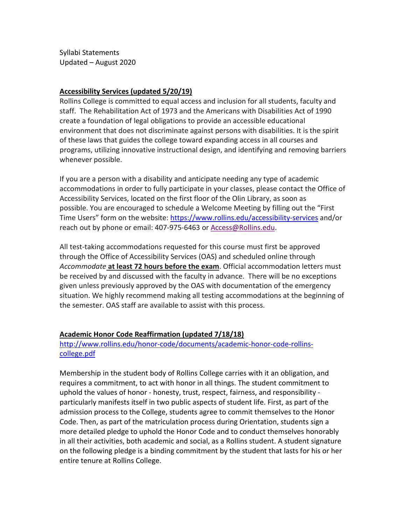Syllabi Statements Updated – August 2020

### **Accessibility Services (updated 5/20/19)**

Rollins College is committed to equal access and inclusion for all students, faculty and staff. The Rehabilitation Act of 1973 and the Americans with Disabilities Act of 1990 create a foundation of legal obligations to provide an accessible educational environment that does not discriminate against persons with disabilities. It is the spirit of these laws that guides the college toward expanding access in all courses and programs, utilizing innovative instructional design, and identifying and removing barriers whenever possible.

If you are a person with a disability and anticipate needing any type of academic accommodations in order to fully participate in your classes, please contact the Office of Accessibility Services, located on the first floor of the Olin Library, as soon as possible. You are encouraged to schedule a Welcome Meeting by filling out the "First Time Users" form on the website: <https://www.rollins.edu/accessibility-services> and/or reach out by phone or email: 407-975-6463 or [Access@Rollins.edu.](mailto:Access@Rollins.edu)

All test-taking accommodations requested for this course must first be approved through the Office of Accessibility Services (OAS) and scheduled online through *Accommodate* **at least 72 hours before the exam**. Official accommodation letters must be received by and discussed with the faculty in advance. There will be no exceptions given unless previously approved by the OAS with documentation of the emergency situation. We highly recommend making all testing accommodations at the beginning of the semester. OAS staff are available to assist with this process.

#### **Academic Honor Code Reaffirmation (updated 7/18/18)**

[http://www.rollins.edu/honor-code/documents/academic-honor-code-rollins](http://www.rollins.edu/honor-code/documents/academic-honor-code-rollins-college.pdf)[college.pdf](http://www.rollins.edu/honor-code/documents/academic-honor-code-rollins-college.pdf)

Membership in the student body of Rollins College carries with it an obligation, and requires a commitment, to act with honor in all things. The student commitment to uphold the values of honor - honesty, trust, respect, fairness, and responsibility particularly manifests itself in two public aspects of student life. First, as part of the admission process to the College, students agree to commit themselves to the Honor Code. Then, as part of the matriculation process during Orientation, students sign a more detailed pledge to uphold the Honor Code and to conduct themselves honorably in all their activities, both academic and social, as a Rollins student. A student signature on the following pledge is a binding commitment by the student that lasts for his or her entire tenure at Rollins College.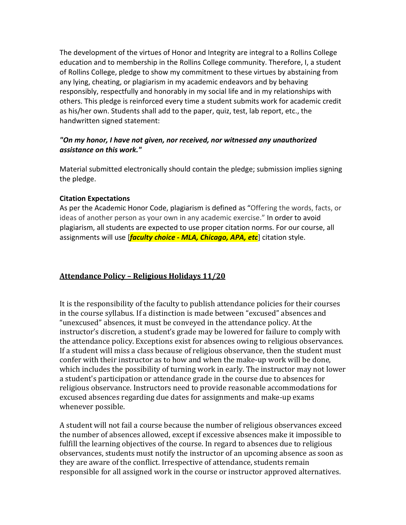The development of the virtues of Honor and Integrity are integral to a Rollins College education and to membership in the Rollins College community. Therefore, I, a student of Rollins College, pledge to show my commitment to these virtues by abstaining from any lying, cheating, or plagiarism in my academic endeavors and by behaving responsibly, respectfully and honorably in my social life and in my relationships with others. This pledge is reinforced every time a student submits work for academic credit as his/her own. Students shall add to the paper, quiz, test, lab report, etc., the handwritten signed statement:

# *"On my honor, I have not given, nor received, nor witnessed any unauthorized assistance on this work."*

Material submitted electronically should contain the pledge; submission implies signing the pledge.

# **Citation Expectations**

As per the Academic Honor Code, plagiarism is defined as "Offering the words, facts, or ideas of another person as your own in any academic exercise." In order to avoid plagiarism, all students are expected to use proper citation norms. For our course, all assignments will use [*faculty choice - MLA, Chicago, APA, etc*] citation style.

# **Attendance Policy – Religious Holidays 11/20**

It is the responsibility of the faculty to publish attendance policies for their courses in the course syllabus. If a distinction is made between "excused" absences and "unexcused" absences, it must be conveyed in the attendance policy. At the instructor's discretion, a student's grade may be lowered for failure to comply with the attendance policy. Exceptions exist for absences owing to religious observances. If a student will miss a class because of religious observance, then the student must confer with their instructor as to how and when the make-up work will be done, which includes the possibility of turning work in early. The instructor may not lower a student's participation or attendance grade in the course due to absences for religious observance. Instructors need to provide reasonable accommodations for excused absences regarding due dates for assignments and make-up exams whenever possible.

A student will not fail a course because the number of religious observances exceed the number of absences allowed, except if excessive absences make it impossible to fulfill the learning objectives of the course. In regard to absences due to religious observances, students must notify the instructor of an upcoming absence as soon as they are aware of the conflict. Irrespective of attendance, students remain responsible for all assigned work in the course or instructor approved alternatives.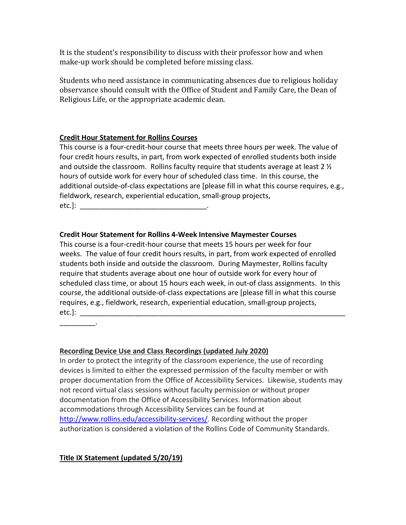It is the student's responsibility to discuss with their professor how and when make-up work should be completed before missing class.

Students who need assistance in communicating absences due to religious holiday observance should consult with the Office of Student and Family Care, the Dean of Religious Life, or the appropriate academic dean.

## **Credit Hour Statement for Rollins Courses**

This course is a four-credit-hour course that meets three hours per week. The value of four credit hours results, in part, from work expected of enrolled students both inside and outside the classroom. Rollins faculty require that students average at least 2  $\frac{1}{2}$ hours of outside work for every hour of scheduled class time. In this course, the additional outside-of-class expectations are [please fill in what this course requires, e.g., fieldwork, research, experiential education, small-group projects,  $etc.$ ]:

## **Credit Hour Statement for Rollins 4-Week Intensive Maymester Courses**

This course is a four-credit-hour course that meets 15 hours per week for four weeks. The value of four credit hours results, in part, from work expected of enrolled students both inside and outside the classroom. During Maymester, Rollins faculty require that students average about one hour of outside work for every hour of scheduled class time, or about 15 hours each week, in out-of class assignments. In this course, the additional outside-of-class expectations are [please fill in what this course requires, e.g., fieldwork, research, experiential education, small-group projects, etc.]:  $\Box$ 

 $\sim$   $\sim$   $\sim$   $\sim$ 

#### **Recording Device Use and Class Recordings (updated July 2020)**

In order to protect the integrity of the classroom experience, the use of recording devices is limited to either the expressed permission of the faculty member or with proper documentation from the Office of Accessibility Services. Likewise, students may not record virtual class sessions without faculty permission or without proper documentation from the Office of Accessibility Services. Information about accommodations through Accessibility Services can be found at [http://www.rollins.edu/accessibility-services/.](http://www.rollins.edu/accessibility-services/) Recording without the proper authorization is considered a violation of the Rollins Code of Community Standards.

# **Title IX Statement (updated 5/20/19)**